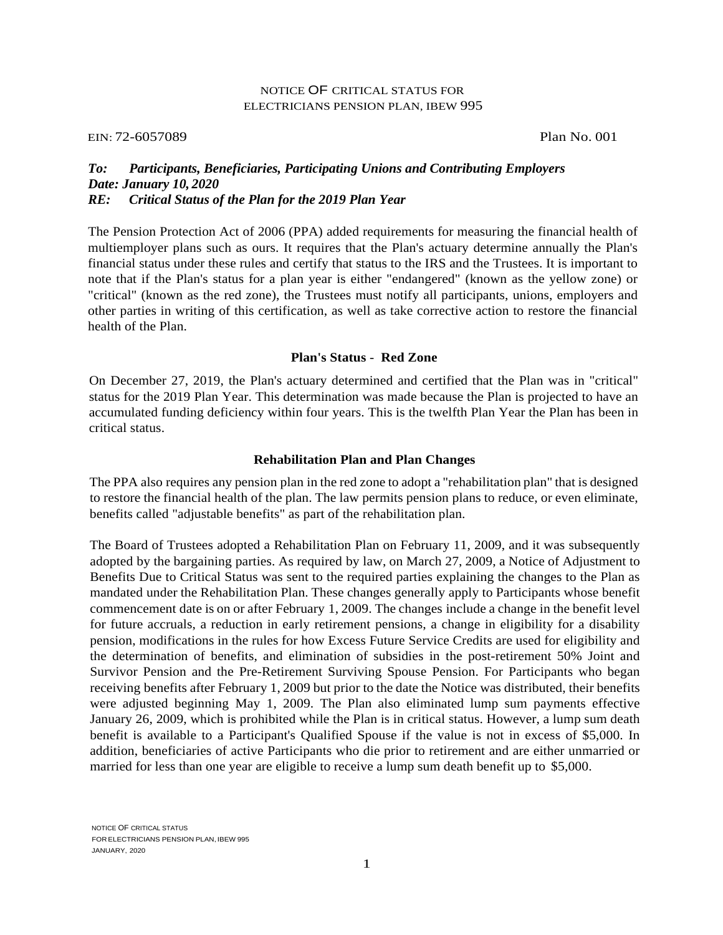### NOTICE OF CRITICAL STATUS FOR ELECTRICIANS PENSION PLAN, IBEW 995

#### EIN: 72-6057089 Plan No. 001

# *Date: January 10, 2020 RE: Critical Status of the Plan for the 2019 Plan Year To: Participants, Beneficiaries, Participating Unions and Contributing Employers*

 The Pension Protection Act of 2006 (PPA) added requirements for measuring the financial health of multiemployer plans such as ours. It requires that the Plan's actuary determine annually the Plan's note that if the Plan's status for a plan year is either "endangered" (known as the yellow zone) or financial status under these rules and certify that status to the IRS and the Trustees. It is important to "critical" (known as the red zone), the Trustees must notify all participants, unions, employers and other parties in writing of this certification, as well as take corrective action to restore the financial health of the Plan.

### **Plan's Status** - **Red Zone**

 On December 27, 2019, the Plan's actuary determined and certified that the Plan was in "critical" status for the 2019 Plan Year. This determination was made because the Plan is projected to have an accumulated funding deficiency within four years. This is the twelfth Plan Year the Plan has been in critical status.

#### **Rehabilitation Plan and Plan Changes**

 The PPA also requires any pension plan in the red zone to adopt a "rehabilitation plan" that is designed to restore the financial health of the plan. The law permits pension plans to reduce, or even eliminate, benefits called "adjustable benefits" as part of the rehabilitation plan.

 adopted by the bargaining parties. As required by law, on March 27, 2009, a Notice of Adjustment to Benefits Due to Critical Status was sent to the required parties explaining the changes to the Plan as mandated under the Rehabilitation Plan. These changes generally apply to Participants whose benefit commencement date is on or after February 1, 2009. The changes include a change in the benefit level pension, modifications in the rules for how Excess Future Service Credits are used for eligibility and the determination of benefits, and elimination of subsidies in the post-retirement 50% Joint and Survivor Pension and the Pre-Retirement Surviving Spouse Pension. For Participants who began receiving benefits after February 1, 2009 but prior to the date the Notice was distributed, their benefits January 26, 2009, which is prohibited while the Plan is in critical status. However, a lump sum death benefit is available to a Participant's Qualified Spouse if the value is not in excess of \$5,000. In addition, beneficiaries of active Participants who die prior to retirement and are either unmarried or The Board of Trustees adopted a Rehabilitation Plan on February 11, 2009, and it was subsequently for future accruals, a reduction in early retirement pensions, a change in eligibility for a disability were adjusted beginning May 1, 2009. The Plan also eliminated lump sum payments effective married for less than one year are eligible to receive a lump sum death benefit up to \$5,000.

 FOR ELECTRICIANS PENSION PLAN, IBEW 995 NOTICE OF CRITICAL STATUS JANUARY, 2020